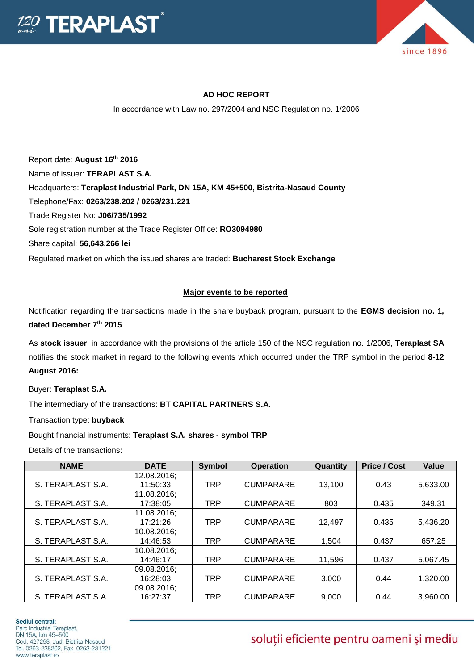



## **AD HOC REPORT**

In accordance with Law no. 297/2004 and NSC Regulation no. 1/2006

Report date: **August 16th 2016** Name of issuer: **TERAPLAST S.A.**  Headquarters: **Teraplast Industrial Park, DN 15A, KM 45+500, Bistrita-Nasaud County** Telephone/Fax: **0263/238.202 / 0263/231.221** Trade Register No: **J06/735/1992** Sole registration number at the Trade Register Office: **RO3094980** Share capital: **56,643,266 lei**  Regulated market on which the issued shares are traded: **Bucharest Stock Exchange**

## **Major events to be reported**

Notification regarding the transactions made in the share buyback program, pursuant to the **EGMS decision no. 1, dated December 7th 2015**.

As **stock issuer**, in accordance with the provisions of the article 150 of the NSC regulation no. 1/2006, **Teraplast SA** notifies the stock market in regard to the following events which occurred under the TRP symbol in the period **8-12 August 2016:**

Buyer: **Teraplast S.A.**

The intermediary of the transactions: **BT CAPITAL PARTNERS S.A.**

Transaction type: **buyback**

Bought financial instruments: **Teraplast S.A. shares - symbol TRP**

Details of the transactions:

| <b>NAME</b>       | <b>DATE</b> | <b>Symbol</b> | <b>Operation</b> | Quantity | <b>Price / Cost</b> | Value    |
|-------------------|-------------|---------------|------------------|----------|---------------------|----------|
|                   | 12.08.2016; |               |                  |          |                     |          |
| S. TERAPLAST S.A. | 11:50:33    | <b>TRP</b>    | <b>CUMPARARE</b> | 13,100   | 0.43                | 5,633.00 |
|                   | 11.08.2016; |               |                  |          |                     |          |
| S. TERAPLAST S.A. | 17:38:05    | <b>TRP</b>    | <b>CUMPARARE</b> | 803      | 0.435               | 349.31   |
|                   | 11.08.2016; |               |                  |          |                     |          |
| S. TERAPLAST S.A. | 17:21:26    | <b>TRP</b>    | <b>CUMPARARE</b> | 12,497   | 0.435               | 5,436.20 |
|                   | 10.08.2016; |               |                  |          |                     |          |
| S. TERAPLAST S.A. | 14:46:53    | TRP           | <b>CUMPARARE</b> | 1.504    | 0.437               | 657.25   |
|                   | 10.08.2016; |               |                  |          |                     |          |
| S. TERAPLAST S.A. | 14:46:17    | <b>TRP</b>    | <b>CUMPARARE</b> | 11,596   | 0.437               | 5,067.45 |
|                   | 09.08.2016: |               |                  |          |                     |          |
| S. TERAPLAST S.A. | 16:28:03    | <b>TRP</b>    | <b>CUMPARARE</b> | 3.000    | 0.44                | 1,320.00 |
|                   | 09.08.2016; |               |                  |          |                     |          |
| S. TERAPLAST S.A. | 16:27:37    | TRP           | <b>CUMPARARE</b> | 9.000    | 0.44                | 3.960.00 |

## soluții eficiente pentru oameni și mediu